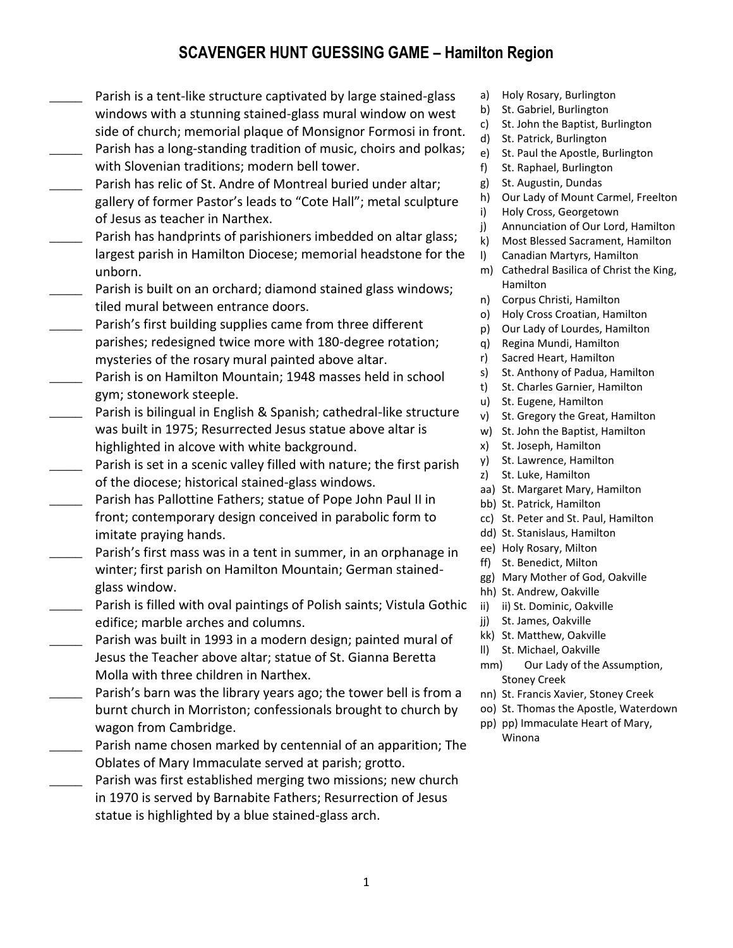## **SCAVENGER HUNT GUESSING GAME – Hamilton Region**

- Parish is a tent-like structure captivated by large stained-glass windows with a stunning stained-glass mural window on west side of church; memorial plaque of Monsignor Formosi in front. Parish has a long-standing tradition of music, choirs and polkas; with Slovenian traditions; modern bell tower.
- Parish has relic of St. Andre of Montreal buried under altar; gallery of former Pastor's leads to "Cote Hall"; metal sculpture of Jesus as teacher in Narthex.
- Parish has handprints of parishioners imbedded on altar glass; largest parish in Hamilton Diocese; memorial headstone for the unborn.
- Parish is built on an orchard; diamond stained glass windows; tiled mural between entrance doors.
- Parish's first building supplies came from three different parishes; redesigned twice more with 180-degree rotation; mysteries of the rosary mural painted above altar.
- **\_\_\_\_\_** Parish is on Hamilton Mountain; 1948 masses held in school gym; stonework steeple.
- Parish is bilingual in English & Spanish; cathedral-like structure was built in 1975; Resurrected Jesus statue above altar is highlighted in alcove with white background.
- Parish is set in a scenic valley filled with nature; the first parish of the diocese; historical stained-glass windows.
- Parish has Pallottine Fathers; statue of Pope John Paul II in front; contemporary design conceived in parabolic form to imitate praying hands.
- Parish's first mass was in a tent in summer, in an orphanage in winter; first parish on Hamilton Mountain; German stainedglass window.
- Parish is filled with oval paintings of Polish saints; Vistula Gothic edifice; marble arches and columns.
- **\_\_\_\_\_** Parish was built in 1993 in a modern design; painted mural of Jesus the Teacher above altar; statue of St. Gianna Beretta Molla with three children in Narthex.
- Parish's barn was the library years ago; the tower bell is from a burnt church in Morriston; confessionals brought to church by wagon from Cambridge.
- Parish name chosen marked by centennial of an apparition; The Oblates of Mary Immaculate served at parish; grotto.
- Parish was first established merging two missions; new church in 1970 is served by Barnabite Fathers; Resurrection of Jesus statue is highlighted by a blue stained-glass arch.
- a) Holy Rosary, Burlington
- b) St. Gabriel, Burlington
- c) St. John the Baptist, Burlington
- d) St. Patrick, Burlington
- e) St. Paul the Apostle, Burlington
- f) St. Raphael, Burlington
- g) St. Augustin, Dundas
- h) Our Lady of Mount Carmel, Freelton
- i) Holy Cross, Georgetown
- j) Annunciation of Our Lord, Hamilton
- k) Most Blessed Sacrament, Hamilton
- l) Canadian Martyrs, Hamilton
- m) Cathedral Basilica of Christ the King, Hamilton
- n) Corpus Christi, Hamilton
- o) Holy Cross Croatian, Hamilton
- p) Our Lady of Lourdes, Hamilton
- q) Regina Mundi, Hamilton
- r) Sacred Heart, Hamilton
- s) St. Anthony of Padua, Hamilton
- t) St. Charles Garnier, Hamilton
- u) St. Eugene, Hamilton
- v) St. Gregory the Great, Hamilton
- w) St. John the Baptist, Hamilton
- x) St. Joseph, Hamilton
- y) St. Lawrence, Hamilton
- z) St. Luke, Hamilton
- aa) St. Margaret Mary, Hamilton
- bb) St. Patrick, Hamilton
- cc) St. Peter and St. Paul, Hamilton
- dd) St. Stanislaus, Hamilton
- ee) Holy Rosary, Milton
- ff) St. Benedict, Milton
- gg) Mary Mother of God, Oakville
- hh) St. Andrew, Oakville
- ii) ii) St. Dominic, Oakville
- jj) St. James, Oakville
- kk) St. Matthew, Oakville
- ll) St. Michael, Oakville
- mm) Our Lady of the Assumption, Stoney Creek
- nn) St. Francis Xavier, Stoney Creek
- oo) St. Thomas the Apostle, Waterdown
- pp) pp) Immaculate Heart of Mary, Winona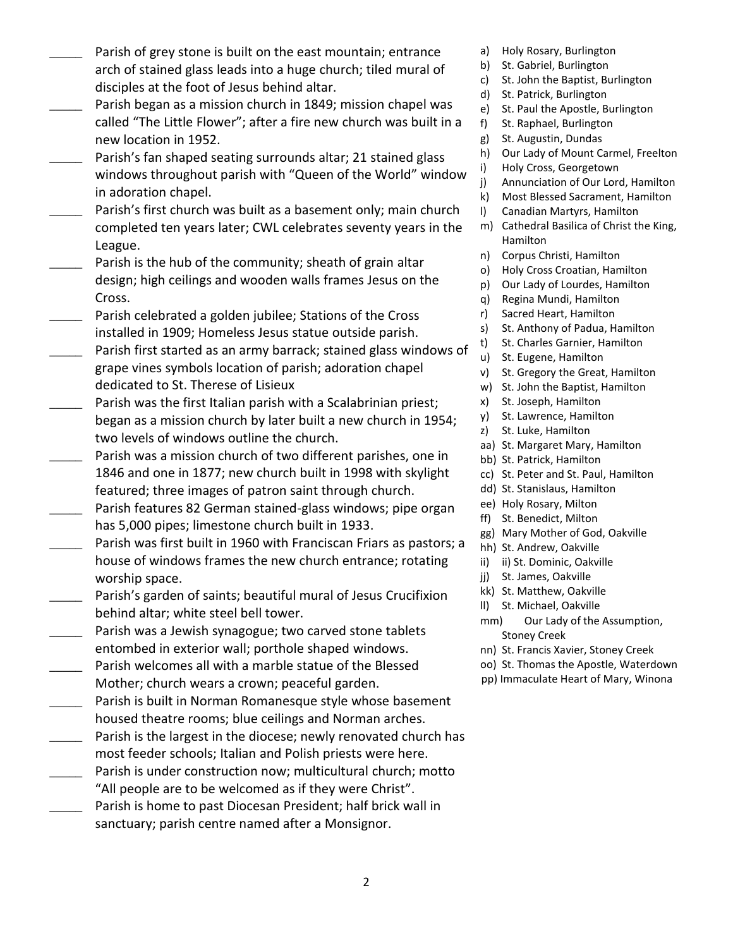- Parish of grey stone is built on the east mountain; entrance arch of stained glass leads into a huge church; tiled mural of disciples at the foot of Jesus behind altar.
- Parish began as a mission church in 1849; mission chapel was called "The Little Flower"; after a fire new church was built in a new location in 1952.
- Parish's fan shaped seating surrounds altar; 21 stained glass windows throughout parish with "Queen of the World" window in adoration chapel.
- Parish's first church was built as a basement only; main church completed ten years later; CWL celebrates seventy years in the League.
- Parish is the hub of the community; sheath of grain altar design; high ceilings and wooden walls frames Jesus on the Cross.
- Parish celebrated a golden jubilee; Stations of the Cross installed in 1909; Homeless Jesus statue outside parish.
- Parish first started as an army barrack; stained glass windows of grape vines symbols location of parish; adoration chapel dedicated to St. Therese of Lisieux
- Parish was the first Italian parish with a Scalabrinian priest; began as a mission church by later built a new church in 1954; two levels of windows outline the church.
- Parish was a mission church of two different parishes, one in 1846 and one in 1877; new church built in 1998 with skylight featured; three images of patron saint through church. Parish features 82 German stained-glass windows; pipe organ
- has 5,000 pipes; limestone church built in 1933.
- Parish was first built in 1960 with Franciscan Friars as pastors; a house of windows frames the new church entrance; rotating worship space.
- Parish's garden of saints; beautiful mural of Jesus Crucifixion behind altar; white steel bell tower.
- Parish was a Jewish synagogue; two carved stone tablets entombed in exterior wall; porthole shaped windows. Parish welcomes all with a marble statue of the Blessed
- Mother; church wears a crown; peaceful garden.
- Parish is built in Norman Romanesque style whose basement housed theatre rooms; blue ceilings and Norman arches.
- Parish is the largest in the diocese; newly renovated church has most feeder schools; Italian and Polish priests were here.
- Parish is under construction now; multicultural church; motto "All people are to be welcomed as if they were Christ".
- Parish is home to past Diocesan President; half brick wall in sanctuary; parish centre named after a Monsignor.
- a) Holy Rosary, Burlington
- b) St. Gabriel, Burlington
- c) St. John the Baptist, Burlington
- d) St. Patrick, Burlington
- e) St. Paul the Apostle, Burlington
- f) St. Raphael, Burlington
- g) St. Augustin, Dundas
- h) Our Lady of Mount Carmel, Freelton
- i) Holy Cross, Georgetown
- j) Annunciation of Our Lord, Hamilton
- k) Most Blessed Sacrament, Hamilton
- l) Canadian Martyrs, Hamilton
- m) Cathedral Basilica of Christ the King, Hamilton
- n) Corpus Christi, Hamilton
- o) Holy Cross Croatian, Hamilton
- p) Our Lady of Lourdes, Hamilton
- q) Regina Mundi, Hamilton
- r) Sacred Heart, Hamilton
- s) St. Anthony of Padua, Hamilton
- t) St. Charles Garnier, Hamilton
- u) St. Eugene, Hamilton
- v) St. Gregory the Great, Hamilton
- w) St. John the Baptist, Hamilton
- x) St. Joseph, Hamilton
- y) St. Lawrence, Hamilton
- z) St. Luke, Hamilton
- aa) St. Margaret Mary, Hamilton
- bb) St. Patrick, Hamilton
- cc) St. Peter and St. Paul, Hamilton
- dd) St. Stanislaus, Hamilton
- ee) Holy Rosary, Milton
- ff) St. Benedict, Milton
- gg) Mary Mother of God, Oakville
- hh) St. Andrew, Oakville
- ii) ii) St. Dominic, Oakville
- jj) St. James, Oakville
- kk) St. Matthew, Oakville
- ll) St. Michael, Oakville
- mm) Our Lady of the Assumption, Stoney Creek
- nn) St. Francis Xavier, Stoney Creek
- oo) St. Thomas the Apostle, Waterdown
- pp) Immaculate Heart of Mary, Winona